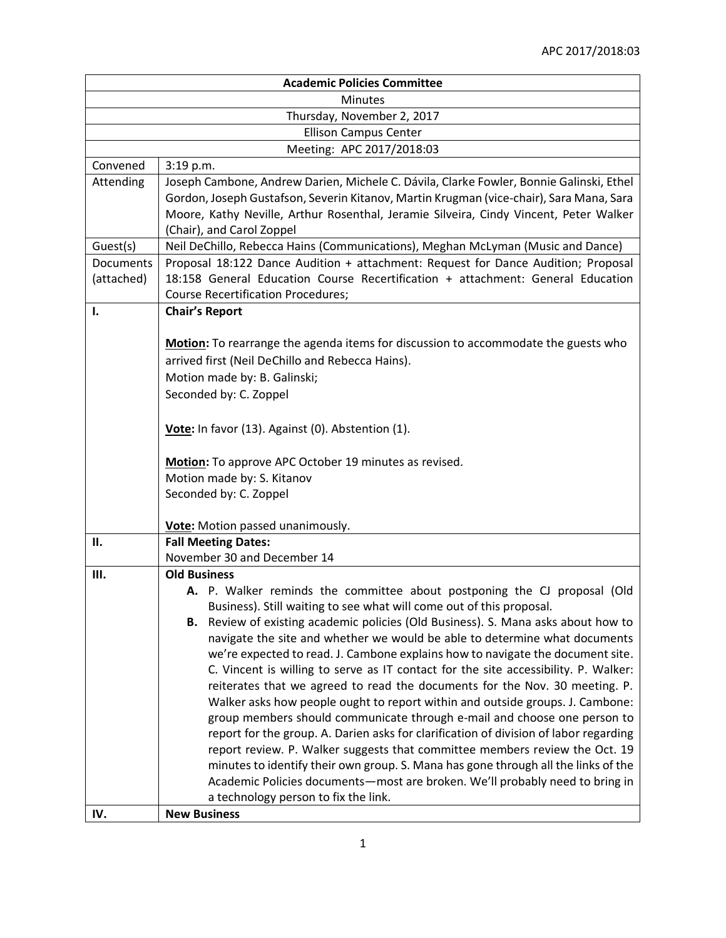| <b>Academic Policies Committee</b> |                                                                                         |  |
|------------------------------------|-----------------------------------------------------------------------------------------|--|
| <b>Minutes</b>                     |                                                                                         |  |
| Thursday, November 2, 2017         |                                                                                         |  |
| <b>Ellison Campus Center</b>       |                                                                                         |  |
| Meeting: APC 2017/2018:03          |                                                                                         |  |
| Convened                           | 3:19 p.m.                                                                               |  |
| Attending                          | Joseph Cambone, Andrew Darien, Michele C. Dávila, Clarke Fowler, Bonnie Galinski, Ethel |  |
|                                    | Gordon, Joseph Gustafson, Severin Kitanov, Martin Krugman (vice-chair), Sara Mana, Sara |  |
|                                    | Moore, Kathy Neville, Arthur Rosenthal, Jeramie Silveira, Cindy Vincent, Peter Walker   |  |
|                                    | (Chair), and Carol Zoppel                                                               |  |
| Guest(s)                           | Neil DeChillo, Rebecca Hains (Communications), Meghan McLyman (Music and Dance)         |  |
| Documents                          | Proposal 18:122 Dance Audition + attachment: Request for Dance Audition; Proposal       |  |
| (attached)                         | 18:158 General Education Course Recertification + attachment: General Education         |  |
|                                    | <b>Course Recertification Procedures;</b>                                               |  |
| ı.                                 | <b>Chair's Report</b>                                                                   |  |
|                                    |                                                                                         |  |
|                                    | Motion: To rearrange the agenda items for discussion to accommodate the guests who      |  |
|                                    | arrived first (Neil DeChillo and Rebecca Hains).                                        |  |
|                                    | Motion made by: B. Galinski;                                                            |  |
|                                    | Seconded by: C. Zoppel                                                                  |  |
|                                    |                                                                                         |  |
|                                    | Vote: In favor (13). Against (0). Abstention (1).                                       |  |
|                                    |                                                                                         |  |
|                                    | Motion: To approve APC October 19 minutes as revised.                                   |  |
|                                    | Motion made by: S. Kitanov                                                              |  |
|                                    | Seconded by: C. Zoppel                                                                  |  |
|                                    | Vote: Motion passed unanimously.                                                        |  |
| П.                                 | <b>Fall Meeting Dates:</b>                                                              |  |
|                                    | November 30 and December 14                                                             |  |
| Ш.                                 | <b>Old Business</b>                                                                     |  |
|                                    | A. P. Walker reminds the committee about postponing the CJ proposal (Old                |  |
|                                    | Business). Still waiting to see what will come out of this proposal.                    |  |
|                                    | Review of existing academic policies (Old Business). S. Mana asks about how to<br>В.    |  |
|                                    | navigate the site and whether we would be able to determine what documents              |  |
|                                    | we're expected to read. J. Cambone explains how to navigate the document site.          |  |
|                                    | C. Vincent is willing to serve as IT contact for the site accessibility. P. Walker:     |  |
|                                    | reiterates that we agreed to read the documents for the Nov. 30 meeting. P.             |  |
|                                    | Walker asks how people ought to report within and outside groups. J. Cambone:           |  |
|                                    | group members should communicate through e-mail and choose one person to                |  |
|                                    | report for the group. A. Darien asks for clarification of division of labor regarding   |  |
|                                    | report review. P. Walker suggests that committee members review the Oct. 19             |  |
|                                    | minutes to identify their own group. S. Mana has gone through all the links of the      |  |
|                                    | Academic Policies documents-most are broken. We'll probably need to bring in            |  |
|                                    | a technology person to fix the link.                                                    |  |
| IV.                                | <b>New Business</b>                                                                     |  |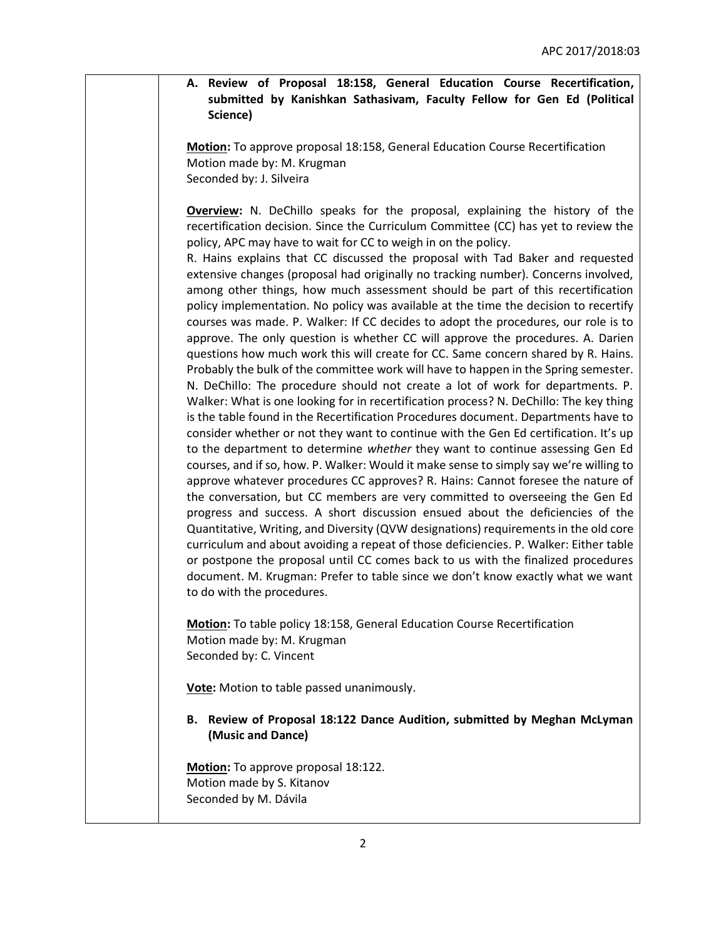## **A. Review of Proposal 18:158, General Education Course Recertification, submitted by Kanishkan Sathasivam, Faculty Fellow for Gen Ed (Political Science)**

**Motion:** To approve proposal 18:158, General Education Course Recertification Motion made by: M. Krugman Seconded by: J. Silveira

**Overview:** N. DeChillo speaks for the proposal, explaining the history of the recertification decision. Since the Curriculum Committee (CC) has yet to review the policy, APC may have to wait for CC to weigh in on the policy.

R. Hains explains that CC discussed the proposal with Tad Baker and requested extensive changes (proposal had originally no tracking number). Concerns involved, among other things, how much assessment should be part of this recertification policy implementation. No policy was available at the time the decision to recertify courses was made. P. Walker: If CC decides to adopt the procedures, our role is to approve. The only question is whether CC will approve the procedures. A. Darien questions how much work this will create for CC. Same concern shared by R. Hains. Probably the bulk of the committee work will have to happen in the Spring semester. N. DeChillo: The procedure should not create a lot of work for departments. P. Walker: What is one looking for in recertification process? N. DeChillo: The key thing is the table found in the Recertification Procedures document. Departments have to consider whether or not they want to continue with the Gen Ed certification. It's up to the department to determine *whether* they want to continue assessing Gen Ed courses, and if so, how. P. Walker: Would it make sense to simply say we're willing to approve whatever procedures CC approves? R. Hains: Cannot foresee the nature of the conversation, but CC members are very committed to overseeing the Gen Ed progress and success. A short discussion ensued about the deficiencies of the Quantitative, Writing, and Diversity (QVW designations) requirements in the old core curriculum and about avoiding a repeat of those deficiencies. P. Walker: Either table or postpone the proposal until CC comes back to us with the finalized procedures document. M. Krugman: Prefer to table since we don't know exactly what we want to do with the procedures.

**Motion:** To table policy 18:158, General Education Course Recertification Motion made by: M. Krugman Seconded by: C. Vincent

**Vote:** Motion to table passed unanimously.

**B. Review of Proposal 18:122 Dance Audition, submitted by Meghan McLyman (Music and Dance)**

**Motion:** To approve proposal 18:122. Motion made by S. Kitanov Seconded by M. Dávila